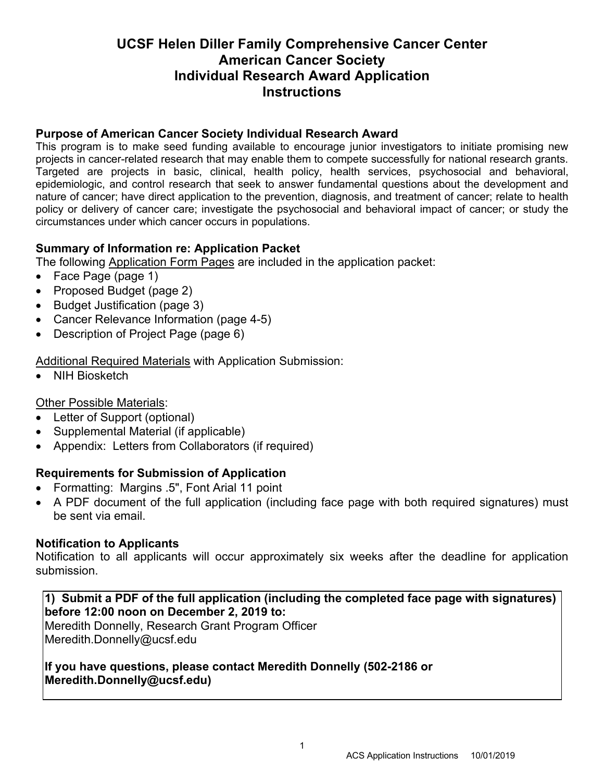# **UCSF Helen Diller Family Comprehensive Cancer Center American Cancer Society Individual Research Award Application Instructions**

# **Purpose of American Cancer Society Individual Research Award**

This program is to make seed funding available to encourage junior investigators to initiate promising new projects in cancer-related research that may enable them to compete successfully for national research grants. Targeted are projects in basic, clinical, health policy, health services, psychosocial and behavioral, epidemiologic, and control research that seek to answer fundamental questions about the development and nature of cancer; have direct application to the prevention, diagnosis, and treatment of cancer; relate to health policy or delivery of cancer care; investigate the psychosocial and behavioral impact of cancer; or study the circumstances under which cancer occurs in populations.

# **Summary of Information re: Application Packet**

The following Application Form Pages are included in the application packet:

- Face Page (page 1)
- Proposed Budget (page 2)
- Budget Justification (page 3)
- Cancer Relevance Information (page 4-5)
- Description of Project Page (page 6)

Additional Required Materials with Application Submission:

• NIH Biosketch

# Other Possible Materials:

- Letter of Support (optional)
- Supplemental Material (if applicable)
- Appendix: Letters from Collaborators (if required)

## **Requirements for Submission of Application**

- Formatting: Margins .5", Font Arial 11 point
- A PDF document of the full application (including face page with both required signatures) must be sent via email.

## **Notification to Applicants**

Notification to all applicants will occur approximately six weeks after the deadline for application submission.

## **1) Submit a PDF of the full application (including the completed face page with signatures) before 12:00 noon on December 2, 2019 to:**

Meredith Donnelly, Research Grant Program Officer Meredith.Donnelly@ucsf.edu

**If you have questions, please contact Meredith Donnelly (502-2186 or Meredith.Donnelly@ucsf.edu)**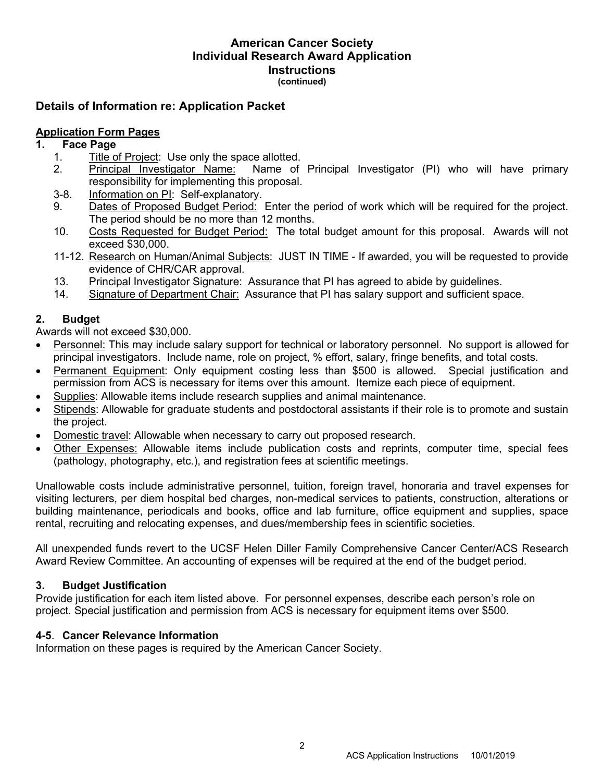#### **American Cancer Society Individual Research Award Application Instructions (continued)**

# **Details of Information re: Application Packet**

## **Application Form Pages**

## **1. Face Page**

- 1. Title of Project: Use only the space allotted.
- 2. Principal Investigator Name: Name of Principal Investigator (PI) who will have primary responsibility for implementing this proposal.
- 3-8. Information on PI: Self-explanatory.
- 9. Dates of Proposed Budget Period: Enter the period of work which will be required for the project. The period should be no more than 12 months.
- 10. Costs Requested for Budget Period: The total budget amount for this proposal. Awards will not exceed \$30,000.
- 11-12. Research on Human/Animal Subjects: JUST IN TIME If awarded, you will be requested to provide evidence of CHR/CAR approval.
- 13. Principal Investigator Signature: Assurance that PI has agreed to abide by guidelines.
- 14. Signature of Department Chair: Assurance that PI has salary support and sufficient space.

## **2. Budget**

Awards will not exceed \$30,000.

- Personnel: This may include salary support for technical or laboratory personnel. No support is allowed for principal investigators. Include name, role on project, % effort, salary, fringe benefits, and total costs.
- Permanent Equipment: Only equipment costing less than \$500 is allowed. Special justification and permission from ACS is necessary for items over this amount. Itemize each piece of equipment.
- Supplies: Allowable items include research supplies and animal maintenance.
- Stipends: Allowable for graduate students and postdoctoral assistants if their role is to promote and sustain the project.
- Domestic travel: Allowable when necessary to carry out proposed research.
- Other Expenses: Allowable items include publication costs and reprints, computer time, special fees (pathology, photography, etc.), and registration fees at scientific meetings.

Unallowable costs include administrative personnel, tuition, foreign travel, honoraria and travel expenses for visiting lecturers, per diem hospital bed charges, non-medical services to patients, construction, alterations or building maintenance, periodicals and books, office and lab furniture, office equipment and supplies, space rental, recruiting and relocating expenses, and dues/membership fees in scientific societies.

All unexpended funds revert to the UCSF Helen Diller Family Comprehensive Cancer Center/ACS Research Award Review Committee. An accounting of expenses will be required at the end of the budget period.

### **3. Budget Justification**

Provide justification for each item listed above. For personnel expenses, describe each person's role on project. Special justification and permission from ACS is necessary for equipment items over \$500.

### **4-5**. **Cancer Relevance Information**

Information on these pages is required by the American Cancer Society.